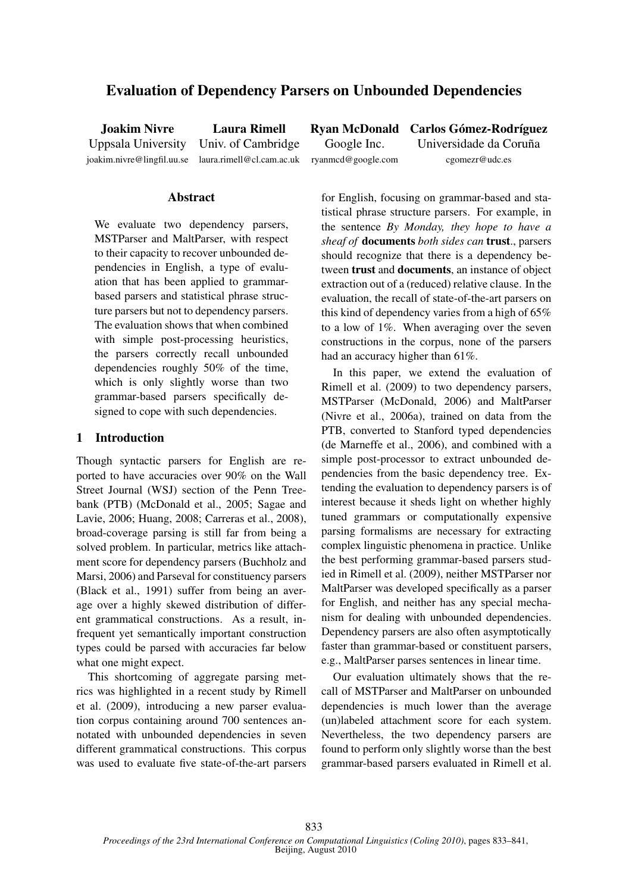# Evaluation of Dependency Parsers on Unbounded Dependencies

joakim.nivre@lingfil.uu.se laura.rimell@cl.cam.ac.uk ryanmcd@google.com cgomezr@udc.es

Joakim Nivre Laura Rimell Ryan McDonald Carlos Gómez-Rodríguez Uppsala University Univ. of Cambridge Google Inc. Universidade da Coruña

# Abstract

We evaluate two dependency parsers, MSTParser and MaltParser, with respect to their capacity to recover unbounded dependencies in English, a type of evaluation that has been applied to grammarbased parsers and statistical phrase structure parsers but not to dependency parsers. The evaluation shows that when combined with simple post-processing heuristics, the parsers correctly recall unbounded dependencies roughly 50% of the time, which is only slightly worse than two grammar-based parsers specifically designed to cope with such dependencies.

## 1 Introduction

Though syntactic parsers for English are reported to have accuracies over 90% on the Wall Street Journal (WSJ) section of the Penn Treebank (PTB) (McDonald et al., 2005; Sagae and Lavie, 2006; Huang, 2008; Carreras et al., 2008), broad-coverage parsing is still far from being a solved problem. In particular, metrics like attachment score for dependency parsers (Buchholz and Marsi, 2006) and Parseval for constituency parsers (Black et al., 1991) suffer from being an average over a highly skewed distribution of different grammatical constructions. As a result, infrequent yet semantically important construction types could be parsed with accuracies far below what one might expect.

This shortcoming of aggregate parsing metrics was highlighted in a recent study by Rimell et al. (2009), introducing a new parser evaluation corpus containing around 700 sentences annotated with unbounded dependencies in seven different grammatical constructions. This corpus was used to evaluate five state-of-the-art parsers for English, focusing on grammar-based and statistical phrase structure parsers. For example, in the sentence *By Monday, they hope to have a sheaf of* documents *both sides can* trust., parsers should recognize that there is a dependency between trust and documents, an instance of object extraction out of a (reduced) relative clause. In the evaluation, the recall of state-of-the-art parsers on this kind of dependency varies from a high of 65% to a low of 1%. When averaging over the seven constructions in the corpus, none of the parsers had an accuracy higher than 61%.

In this paper, we extend the evaluation of Rimell et al. (2009) to two dependency parsers, MSTParser (McDonald, 2006) and MaltParser (Nivre et al., 2006a), trained on data from the PTB, converted to Stanford typed dependencies (de Marneffe et al., 2006), and combined with a simple post-processor to extract unbounded dependencies from the basic dependency tree. Extending the evaluation to dependency parsers is of interest because it sheds light on whether highly tuned grammars or computationally expensive parsing formalisms are necessary for extracting complex linguistic phenomena in practice. Unlike the best performing grammar-based parsers studied in Rimell et al. (2009), neither MSTParser nor MaltParser was developed specifically as a parser for English, and neither has any special mechanism for dealing with unbounded dependencies. Dependency parsers are also often asymptotically faster than grammar-based or constituent parsers, e.g., MaltParser parses sentences in linear time.

Our evaluation ultimately shows that the recall of MSTParser and MaltParser on unbounded dependencies is much lower than the average (un)labeled attachment score for each system. Nevertheless, the two dependency parsers are found to perform only slightly worse than the best grammar-based parsers evaluated in Rimell et al.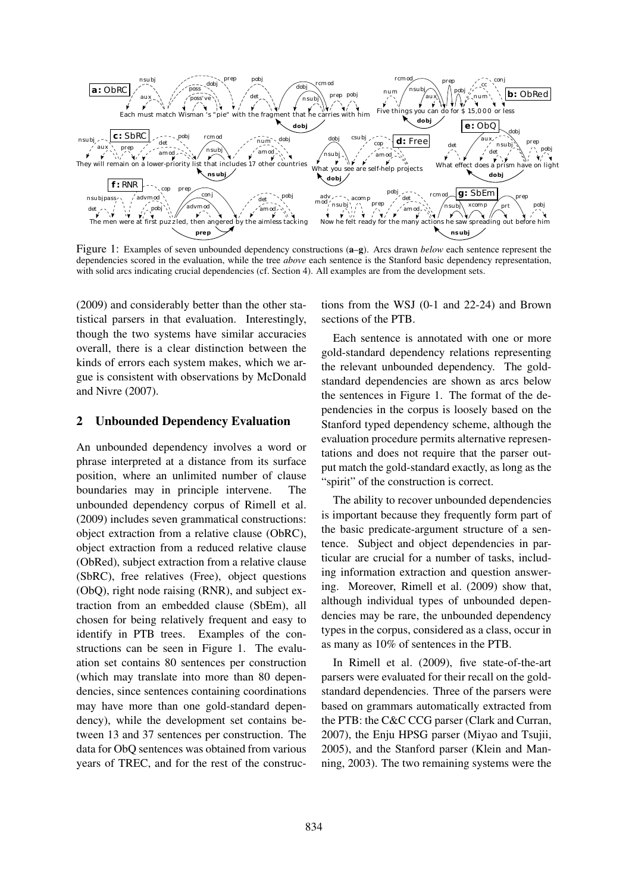

Figure 1: Examples of seven unbounded dependency constructions (a–g). Arcs drawn *below* each sentence represent the dependencies scored in the evaluation, while the tree *above* each sentence is the Stanford basic dependency representation, with solid arcs indicating crucial dependencies (cf. Section 4). All examples are from the development sets.

(2009) and considerably better than the other statistical parsers in that evaluation. Interestingly, though the two systems have similar accuracies overall, there is a clear distinction between the kinds of errors each system makes, which we argue is consistent with observations by McDonald and Nivre (2007).

### 2 Unbounded Dependency Evaluation

An unbounded dependency involves a word or phrase interpreted at a distance from its surface position, where an unlimited number of clause boundaries may in principle intervene. The unbounded dependency corpus of Rimell et al. (2009) includes seven grammatical constructions: object extraction from a relative clause (ObRC), object extraction from a reduced relative clause (ObRed), subject extraction from a relative clause (SbRC), free relatives (Free), object questions (ObQ), right node raising (RNR), and subject extraction from an embedded clause (SbEm), all chosen for being relatively frequent and easy to identify in PTB trees. Examples of the constructions can be seen in Figure 1. The evaluation set contains 80 sentences per construction (which may translate into more than 80 dependencies, since sentences containing coordinations may have more than one gold-standard dependency), while the development set contains between 13 and 37 sentences per construction. The data for ObQ sentences was obtained from various years of TREC, and for the rest of the constructions from the WSJ (0-1 and 22-24) and Brown sections of the PTB.

Each sentence is annotated with one or more gold-standard dependency relations representing the relevant unbounded dependency. The goldstandard dependencies are shown as arcs below the sentences in Figure 1. The format of the dependencies in the corpus is loosely based on the Stanford typed dependency scheme, although the evaluation procedure permits alternative representations and does not require that the parser output match the gold-standard exactly, as long as the "spirit" of the construction is correct.

The ability to recover unbounded dependencies is important because they frequently form part of the basic predicate-argument structure of a sentence. Subject and object dependencies in particular are crucial for a number of tasks, including information extraction and question answering. Moreover, Rimell et al. (2009) show that, although individual types of unbounded dependencies may be rare, the unbounded dependency types in the corpus, considered as a class, occur in as many as 10% of sentences in the PTB.

In Rimell et al. (2009), five state-of-the-art parsers were evaluated for their recall on the goldstandard dependencies. Three of the parsers were based on grammars automatically extracted from the PTB: the C&C CCG parser (Clark and Curran, 2007), the Enju HPSG parser (Miyao and Tsujii, 2005), and the Stanford parser (Klein and Manning, 2003). The two remaining systems were the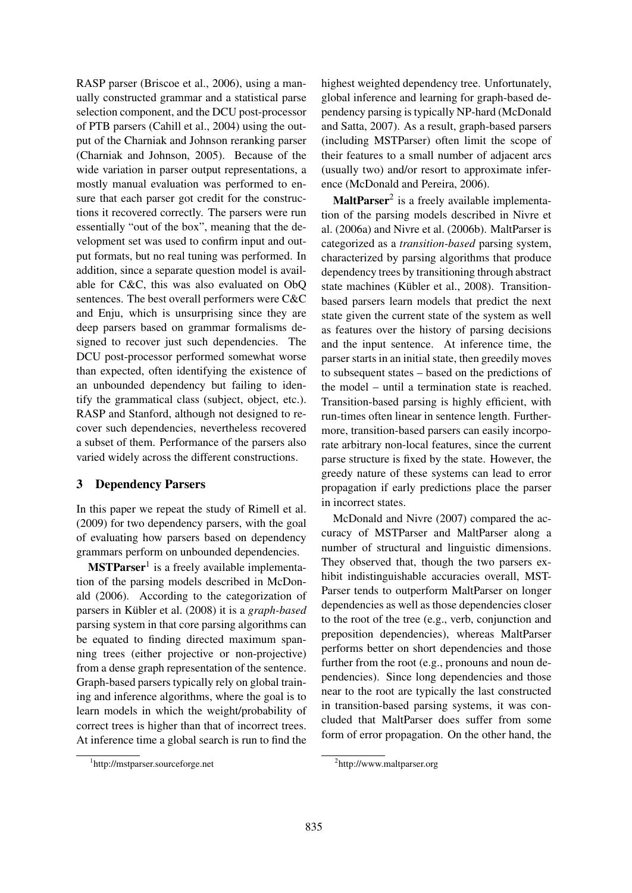RASP parser (Briscoe et al., 2006), using a manually constructed grammar and a statistical parse selection component, and the DCU post-processor of PTB parsers (Cahill et al., 2004) using the output of the Charniak and Johnson reranking parser (Charniak and Johnson, 2005). Because of the wide variation in parser output representations, a mostly manual evaluation was performed to ensure that each parser got credit for the constructions it recovered correctly. The parsers were run essentially "out of the box", meaning that the development set was used to confirm input and output formats, but no real tuning was performed. In addition, since a separate question model is available for C&C, this was also evaluated on ObQ sentences. The best overall performers were C&C and Enju, which is unsurprising since they are deep parsers based on grammar formalisms designed to recover just such dependencies. The DCU post-processor performed somewhat worse than expected, often identifying the existence of an unbounded dependency but failing to identify the grammatical class (subject, object, etc.). RASP and Stanford, although not designed to recover such dependencies, nevertheless recovered a subset of them. Performance of the parsers also varied widely across the different constructions.

# 3 Dependency Parsers

In this paper we repeat the study of Rimell et al. (2009) for two dependency parsers, with the goal of evaluating how parsers based on dependency grammars perform on unbounded dependencies.

 $MSTParser<sup>1</sup>$  is a freely available implementation of the parsing models described in McDonald (2006). According to the categorization of parsers in Kübler et al. (2008) it is a *graph-based* parsing system in that core parsing algorithms can be equated to finding directed maximum spanning trees (either projective or non-projective) from a dense graph representation of the sentence. Graph-based parsers typically rely on global training and inference algorithms, where the goal is to learn models in which the weight/probability of correct trees is higher than that of incorrect trees. At inference time a global search is run to find the

1 http://mstparser.sourceforge.net

highest weighted dependency tree. Unfortunately, global inference and learning for graph-based dependency parsing is typically NP-hard (McDonald and Satta, 2007). As a result, graph-based parsers (including MSTParser) often limit the scope of their features to a small number of adjacent arcs (usually two) and/or resort to approximate inference (McDonald and Pereira, 2006).

MaltParser<sup>2</sup> is a freely available implementation of the parsing models described in Nivre et al. (2006a) and Nivre et al. (2006b). MaltParser is categorized as a *transition-based* parsing system, characterized by parsing algorithms that produce dependency trees by transitioning through abstract state machines (Kübler et al., 2008). Transitionbased parsers learn models that predict the next state given the current state of the system as well as features over the history of parsing decisions and the input sentence. At inference time, the parser starts in an initial state, then greedily moves to subsequent states – based on the predictions of the model – until a termination state is reached. Transition-based parsing is highly efficient, with run-times often linear in sentence length. Furthermore, transition-based parsers can easily incorporate arbitrary non-local features, since the current parse structure is fixed by the state. However, the greedy nature of these systems can lead to error propagation if early predictions place the parser in incorrect states.

McDonald and Nivre (2007) compared the accuracy of MSTParser and MaltParser along a number of structural and linguistic dimensions. They observed that, though the two parsers exhibit indistinguishable accuracies overall, MST-Parser tends to outperform MaltParser on longer dependencies as well as those dependencies closer to the root of the tree (e.g., verb, conjunction and preposition dependencies), whereas MaltParser performs better on short dependencies and those further from the root (e.g., pronouns and noun dependencies). Since long dependencies and those near to the root are typically the last constructed in transition-based parsing systems, it was concluded that MaltParser does suffer from some form of error propagation. On the other hand, the

<sup>2</sup> http://www.maltparser.org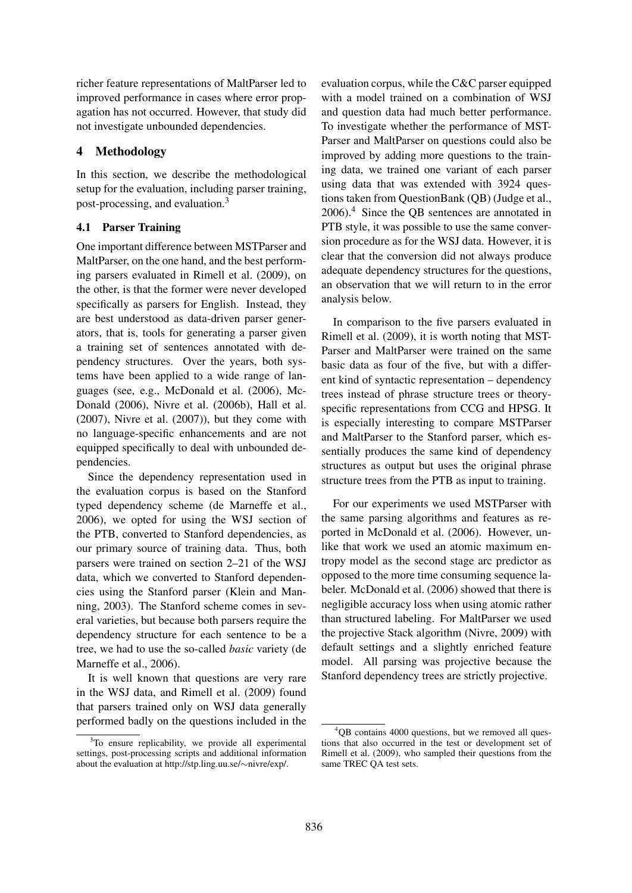richer feature representations of MaltParser led to improved performance in cases where error propagation has not occurred. However, that study did not investigate unbounded dependencies.

# 4 Methodology

In this section, we describe the methodological setup for the evaluation, including parser training, post-processing, and evaluation.<sup>3</sup>

# 4.1 Parser Training

One important difference between MSTParser and MaltParser, on the one hand, and the best performing parsers evaluated in Rimell et al. (2009), on the other, is that the former were never developed specifically as parsers for English. Instead, they are best understood as data-driven parser generators, that is, tools for generating a parser given a training set of sentences annotated with dependency structures. Over the years, both systems have been applied to a wide range of languages (see, e.g., McDonald et al. (2006), Mc-Donald (2006), Nivre et al. (2006b), Hall et al. (2007), Nivre et al. (2007)), but they come with no language-specific enhancements and are not equipped specifically to deal with unbounded dependencies.

Since the dependency representation used in the evaluation corpus is based on the Stanford typed dependency scheme (de Marneffe et al., 2006), we opted for using the WSJ section of the PTB, converted to Stanford dependencies, as our primary source of training data. Thus, both parsers were trained on section 2–21 of the WSJ data, which we converted to Stanford dependencies using the Stanford parser (Klein and Manning, 2003). The Stanford scheme comes in several varieties, but because both parsers require the dependency structure for each sentence to be a tree, we had to use the so-called *basic* variety (de Marneffe et al., 2006).

It is well known that questions are very rare in the WSJ data, and Rimell et al. (2009) found that parsers trained only on WSJ data generally performed badly on the questions included in the evaluation corpus, while the C&C parser equipped with a model trained on a combination of WSJ and question data had much better performance. To investigate whether the performance of MST-Parser and MaltParser on questions could also be improved by adding more questions to the training data, we trained one variant of each parser using data that was extended with 3924 questions taken from QuestionBank (QB) (Judge et al., 2006).<sup>4</sup> Since the QB sentences are annotated in PTB style, it was possible to use the same conversion procedure as for the WSJ data. However, it is clear that the conversion did not always produce adequate dependency structures for the questions, an observation that we will return to in the error analysis below.

In comparison to the five parsers evaluated in Rimell et al. (2009), it is worth noting that MST-Parser and MaltParser were trained on the same basic data as four of the five, but with a different kind of syntactic representation – dependency trees instead of phrase structure trees or theoryspecific representations from CCG and HPSG. It is especially interesting to compare MSTParser and MaltParser to the Stanford parser, which essentially produces the same kind of dependency structures as output but uses the original phrase structure trees from the PTB as input to training.

For our experiments we used MSTParser with the same parsing algorithms and features as reported in McDonald et al. (2006). However, unlike that work we used an atomic maximum entropy model as the second stage arc predictor as opposed to the more time consuming sequence labeler. McDonald et al. (2006) showed that there is negligible accuracy loss when using atomic rather than structured labeling. For MaltParser we used the projective Stack algorithm (Nivre, 2009) with default settings and a slightly enriched feature model. All parsing was projective because the Stanford dependency trees are strictly projective.

<sup>&</sup>lt;sup>3</sup>To ensure replicability, we provide all experimental settings, post-processing scripts and additional information about the evaluation at http://stp.ling.uu.se/∼nivre/exp/.

<sup>4</sup>QB contains 4000 questions, but we removed all questions that also occurred in the test or development set of Rimell et al. (2009), who sampled their questions from the same TREC QA test sets.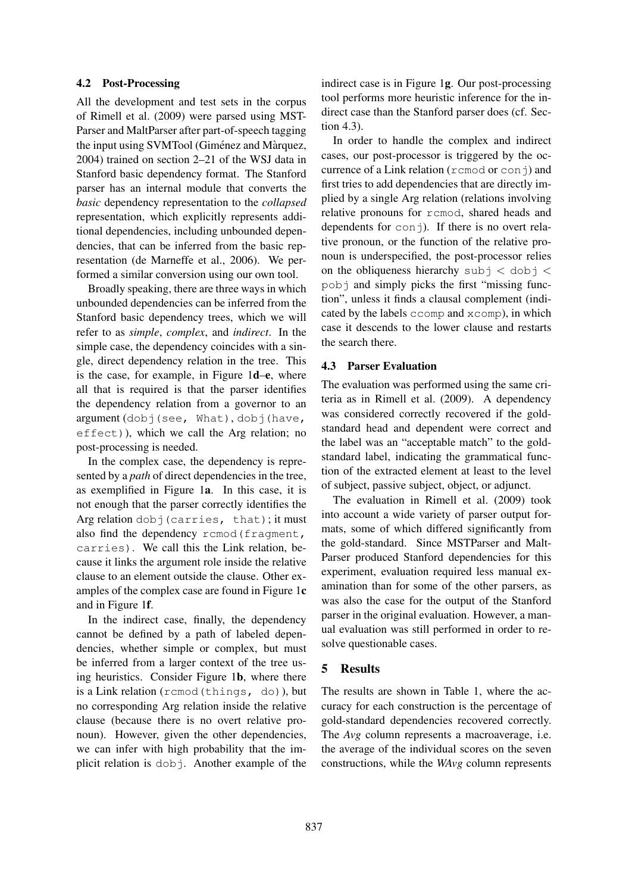#### 4.2 Post-Processing

All the development and test sets in the corpus of Rimell et al. (2009) were parsed using MST-Parser and MaltParser after part-of-speech tagging the input using SVMTool (Giménez and Màrquez, 2004) trained on section 2–21 of the WSJ data in Stanford basic dependency format. The Stanford parser has an internal module that converts the *basic* dependency representation to the *collapsed* representation, which explicitly represents additional dependencies, including unbounded dependencies, that can be inferred from the basic representation (de Marneffe et al., 2006). We performed a similar conversion using our own tool.

Broadly speaking, there are three ways in which unbounded dependencies can be inferred from the Stanford basic dependency trees, which we will refer to as *simple*, *complex*, and *indirect*. In the simple case, the dependency coincides with a single, direct dependency relation in the tree. This is the case, for example, in Figure 1d–e, where all that is required is that the parser identifies the dependency relation from a governor to an argument (dobj(see, What), dobj(have, effect)), which we call the Arg relation; no post-processing is needed.

In the complex case, the dependency is represented by a *path* of direct dependencies in the tree, as exemplified in Figure 1a. In this case, it is not enough that the parser correctly identifies the Arg relation dobj(carries, that); it must also find the dependency rcmod (fragment, carries). We call this the Link relation, because it links the argument role inside the relative clause to an element outside the clause. Other examples of the complex case are found in Figure 1c and in Figure 1f.

In the indirect case, finally, the dependency cannot be defined by a path of labeled dependencies, whether simple or complex, but must be inferred from a larger context of the tree using heuristics. Consider Figure 1b, where there is a Link relation (rcmod(things, do)), but no corresponding Arg relation inside the relative clause (because there is no overt relative pronoun). However, given the other dependencies, we can infer with high probability that the implicit relation is dobj. Another example of the indirect case is in Figure 1g. Our post-processing tool performs more heuristic inference for the indirect case than the Stanford parser does (cf. Section 4.3).

In order to handle the complex and indirect cases, our post-processor is triggered by the occurrence of a Link relation ( $r$ cmod or conj) and first tries to add dependencies that are directly implied by a single Arg relation (relations involving relative pronouns for rcmod, shared heads and dependents for  $\text{con}$   $\dagger$ ). If there is no overt relative pronoun, or the function of the relative pronoun is underspecified, the post-processor relies on the obliqueness hierarchy subj  $\lt$  dobj  $\lt$ pobj and simply picks the first "missing function", unless it finds a clausal complement (indicated by the labels ccomp and xcomp), in which case it descends to the lower clause and restarts the search there.

#### 4.3 Parser Evaluation

The evaluation was performed using the same criteria as in Rimell et al. (2009). A dependency was considered correctly recovered if the goldstandard head and dependent were correct and the label was an "acceptable match" to the goldstandard label, indicating the grammatical function of the extracted element at least to the level of subject, passive subject, object, or adjunct.

The evaluation in Rimell et al. (2009) took into account a wide variety of parser output formats, some of which differed significantly from the gold-standard. Since MSTParser and Malt-Parser produced Stanford dependencies for this experiment, evaluation required less manual examination than for some of the other parsers, as was also the case for the output of the Stanford parser in the original evaluation. However, a manual evaluation was still performed in order to resolve questionable cases.

# 5 Results

The results are shown in Table 1, where the accuracy for each construction is the percentage of gold-standard dependencies recovered correctly. The *Avg* column represents a macroaverage, i.e. the average of the individual scores on the seven constructions, while the *WAvg* column represents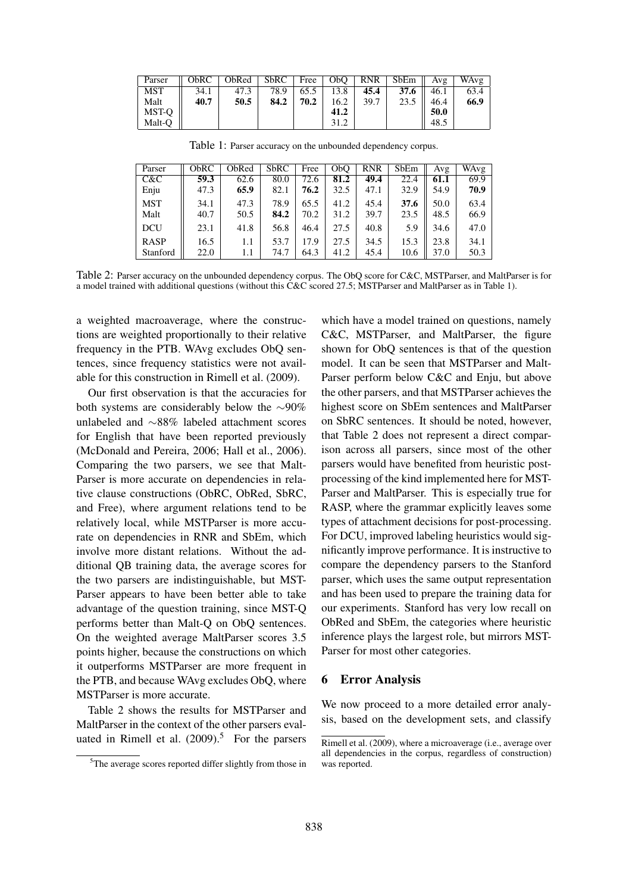| Parser | ObRC | ObRed   SbRC |      |      | Free $\vert$ ObO $\vert$ | RNR  | SbEm             | Avg  | WAvg |
|--------|------|--------------|------|------|--------------------------|------|------------------|------|------|
| MST    | 34.1 | 47.3         | 78.9 | 65.5 | 13.8                     | 45.4 | 37.6 $\parallel$ | 46.1 | 63.4 |
| Malt   | 40.7 | 50.5         | 84.2 | 70.2 | 16.2                     | 39.7 | 23.5             | 46.4 | 66.9 |
| MST-O  |      |              |      |      | 41.2                     |      |                  | 50.0 |      |
| Malt-O |      |              |      |      | 31.2                     |      |                  | 48.5 |      |

Table 1: Parser accuracy on the unbounded dependency corpus.

| Parser      | ObRC | ObRed | <b>SbRC</b> | Free | O <sub>b</sub> O | <b>RNR</b> | SbEm | Avg  | WAvg |
|-------------|------|-------|-------------|------|------------------|------------|------|------|------|
| C&C         | 59.3 | 62.6  | 80.0        | 72.6 | 81.2             | 49.4       | 22.4 | 61.1 | 69.9 |
| Enju        | 47.3 | 65.9  | 82.1        | 76.2 | 32.5             | 47.1       | 32.9 | 54.9 | 70.9 |
| <b>MST</b>  | 34.1 | 47.3  | 78.9        | 65.5 | 41.2             | 45.4       | 37.6 | 50.0 | 63.4 |
| Malt        | 40.7 | 50.5  | 84.2        | 70.2 | 31.2             | 39.7       | 23.5 | 48.5 | 66.9 |
| <b>DCU</b>  | 23.1 | 41.8  | 56.8        | 46.4 | 27.5             | 40.8       | 5.9  | 34.6 | 47.0 |
| <b>RASP</b> | 16.5 | 1.1   | 53.7        | 17.9 | 27.5             | 34.5       | 15.3 | 23.8 | 34.1 |
| Stanford    | 22.0 | 1.1   | 74.7        | 64.3 | 41.2             | 45.4       | 10.6 | 37.0 | 50.3 |

Table 2: Parser accuracy on the unbounded dependency corpus. The ObQ score for C&C, MSTParser, and MaltParser is for a model trained with additional questions (without this C&C scored 27.5; MSTParser and MaltParser as in Table 1).

a weighted macroaverage, where the constructions are weighted proportionally to their relative frequency in the PTB. WAvg excludes ObQ sentences, since frequency statistics were not available for this construction in Rimell et al. (2009).

Our first observation is that the accuracies for both systems are considerably below the ∼90% unlabeled and ∼88% labeled attachment scores for English that have been reported previously (McDonald and Pereira, 2006; Hall et al., 2006). Comparing the two parsers, we see that Malt-Parser is more accurate on dependencies in relative clause constructions (ObRC, ObRed, SbRC, and Free), where argument relations tend to be relatively local, while MSTParser is more accurate on dependencies in RNR and SbEm, which involve more distant relations. Without the additional QB training data, the average scores for the two parsers are indistinguishable, but MST-Parser appears to have been better able to take advantage of the question training, since MST-Q performs better than Malt-Q on ObQ sentences. On the weighted average MaltParser scores 3.5 points higher, because the constructions on which it outperforms MSTParser are more frequent in the PTB, and because WAvg excludes ObQ, where MSTParser is more accurate.

Table 2 shows the results for MSTParser and MaltParser in the context of the other parsers evaluated in Rimell et al.  $(2009).$ <sup>5</sup> For the parsers

which have a model trained on questions, namely C&C, MSTParser, and MaltParser, the figure shown for ObQ sentences is that of the question model. It can be seen that MSTParser and Malt-Parser perform below C&C and Enju, but above the other parsers, and that MSTParser achieves the highest score on SbEm sentences and MaltParser on SbRC sentences. It should be noted, however, that Table 2 does not represent a direct comparison across all parsers, since most of the other parsers would have benefited from heuristic postprocessing of the kind implemented here for MST-Parser and MaltParser. This is especially true for RASP, where the grammar explicitly leaves some types of attachment decisions for post-processing. For DCU, improved labeling heuristics would significantly improve performance. It is instructive to compare the dependency parsers to the Stanford parser, which uses the same output representation and has been used to prepare the training data for our experiments. Stanford has very low recall on ObRed and SbEm, the categories where heuristic inference plays the largest role, but mirrors MST-Parser for most other categories.

### 6 Error Analysis

We now proceed to a more detailed error analysis, based on the development sets, and classify

<sup>5</sup>The average scores reported differ slightly from those in

Rimell et al. (2009), where a microaverage (i.e., average over all dependencies in the corpus, regardless of construction) was reported.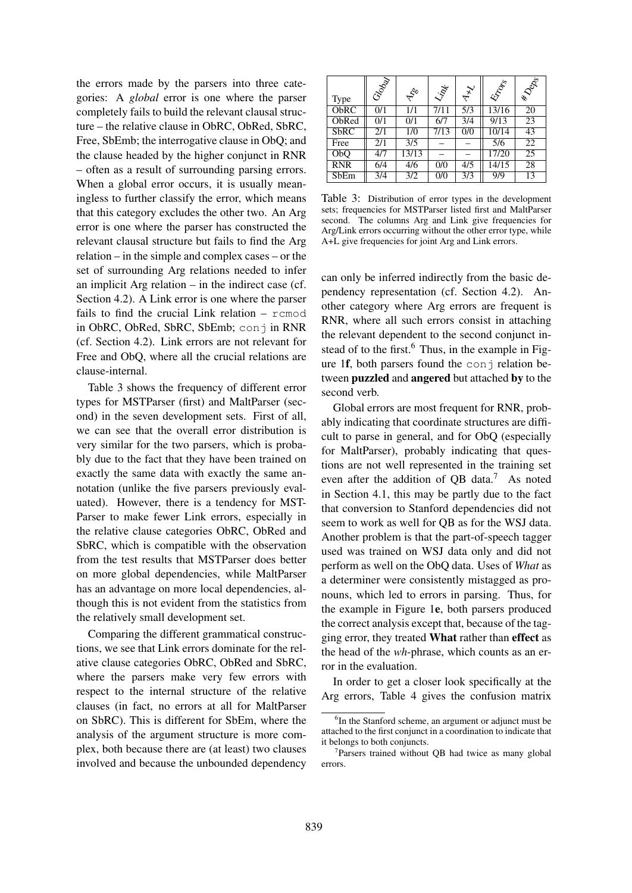the errors made by the parsers into three categories: A *global* error is one where the parser completely fails to build the relevant clausal structure – the relative clause in ObRC, ObRed, SbRC, Free, SbEmb; the interrogative clause in ObQ; and the clause headed by the higher conjunct in RNR – often as a result of surrounding parsing errors. When a global error occurs, it is usually meaningless to further classify the error, which means that this category excludes the other two. An Arg error is one where the parser has constructed the relevant clausal structure but fails to find the Arg relation – in the simple and complex cases – or the set of surrounding Arg relations needed to infer an implicit Arg relation – in the indirect case (cf. Section 4.2). A Link error is one where the parser fails to find the crucial Link relation – rcmod in ObRC, ObRed, SbRC, SbEmb; conj in RNR (cf. Section 4.2). Link errors are not relevant for Free and ObQ, where all the crucial relations are clause-internal.

Table 3 shows the frequency of different error types for MSTParser (first) and MaltParser (second) in the seven development sets. First of all, we can see that the overall error distribution is very similar for the two parsers, which is probably due to the fact that they have been trained on exactly the same data with exactly the same annotation (unlike the five parsers previously evaluated). However, there is a tendency for MST-Parser to make fewer Link errors, especially in the relative clause categories ObRC, ObRed and SbRC, which is compatible with the observation from the test results that MSTParser does better on more global dependencies, while MaltParser has an advantage on more local dependencies, although this is not evident from the statistics from the relatively small development set.

Comparing the different grammatical constructions, we see that Link errors dominate for the relative clause categories ObRC, ObRed and SbRC, where the parsers make very few errors with respect to the internal structure of the relative clauses (in fact, no errors at all for MaltParser on SbRC). This is different for SbEm, where the analysis of the argument structure is more complex, both because there are (at least) two clauses involved and because the unbounded dependency

| Type        | Graph | $\phi^{\circ}$   | 冷    | $x^2$            | 47000 | <b>EDD</b>      |
|-------------|-------|------------------|------|------------------|-------|-----------------|
| ObRC        | 0/1   | 1/1              | 7/11 | $\overline{5/3}$ | 13/16 | 20              |
| ObRed       | 0/1   | 0/1              | 6/7  | 3/4              | 9/13  | 23              |
| <b>SbRC</b> | 2/1   | 1/0              | 7/13 | 0/0              | 10/14 | 43              |
| Free        | 2/1   | $\overline{3/5}$ |      |                  | 5/6   | $\overline{22}$ |
| ObQ         | 4/7   | 13/13            |      |                  | 17/20 | 25              |
| <b>RNR</b>  | 6/4   | 4/6              | 0/0  | 4/5              | 14/15 | 28              |
| SbEm        | 3/4   | 3/2              | 0/0  | 3/3              | 9/9   | 13              |

Table 3: Distribution of error types in the development sets; frequencies for MSTParser listed first and MaltParser second. The columns Arg and Link give frequencies for Arg/Link errors occurring without the other error type, while A+L give frequencies for joint Arg and Link errors.

can only be inferred indirectly from the basic dependency representation (cf. Section 4.2). Another category where Arg errors are frequent is RNR, where all such errors consist in attaching the relevant dependent to the second conjunct instead of to the first. $6$  Thus, in the example in Figure 1f, both parsers found the conj relation between puzzled and angered but attached by to the second verb.

Global errors are most frequent for RNR, probably indicating that coordinate structures are difficult to parse in general, and for ObQ (especially for MaltParser), probably indicating that questions are not well represented in the training set even after the addition of QB data.<sup>7</sup> As noted in Section 4.1, this may be partly due to the fact that conversion to Stanford dependencies did not seem to work as well for QB as for the WSJ data. Another problem is that the part-of-speech tagger used was trained on WSJ data only and did not perform as well on the ObQ data. Uses of *What* as a determiner were consistently mistagged as pronouns, which led to errors in parsing. Thus, for the example in Figure 1e, both parsers produced the correct analysis except that, because of the tagging error, they treated What rather than effect as the head of the *wh*-phrase, which counts as an error in the evaluation.

In order to get a closer look specifically at the Arg errors, Table 4 gives the confusion matrix

<sup>&</sup>lt;sup>6</sup>In the Stanford scheme, an argument or adjunct must be attached to the first conjunct in a coordination to indicate that it belongs to both conjuncts.

<sup>&</sup>lt;sup>7</sup>Parsers trained without QB had twice as many global errors.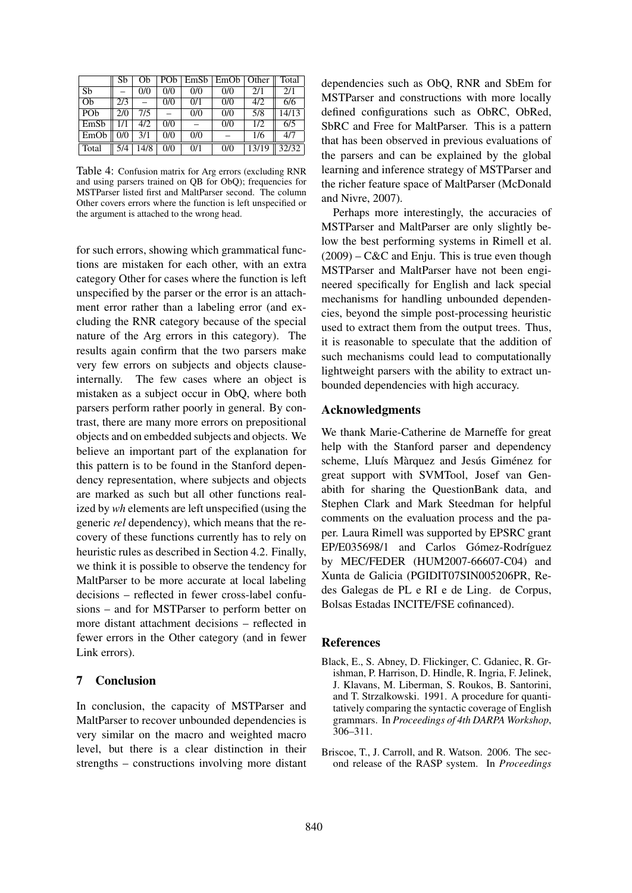|                 | Sb  | Ob   | PO <sub>b</sub> |     | $EmSb$ $EmOb$ | Other | Total |
|-----------------|-----|------|-----------------|-----|---------------|-------|-------|
| Sb              |     | 0/0  | 0/0             | 0/0 | 0/0           | 2/1   | 2/1   |
| Oh              | 2/3 |      | 0/0             | 0/1 | 0/0           | 4/2   | 6/6   |
| PO <sub>b</sub> | 2/0 | 7/5  |                 | 0/0 | 0/0           | 5/8   | 14/13 |
| EmSb            | 1/1 | 4/2  | 0/0             |     | 0/0           | 1/2   | 6/5   |
| EmOb            | 0/0 | 3/1  | 0/0             | 0/0 |               | 1/6   | 4/7   |
| Total           | 5/4 | 14/8 | 0/0             | 0/1 | 0/0           | 13/19 | 32/32 |

Table 4: Confusion matrix for Arg errors (excluding RNR and using parsers trained on QB for ObQ); frequencies for MSTParser listed first and MaltParser second. The column Other covers errors where the function is left unspecified or the argument is attached to the wrong head.

for such errors, showing which grammatical functions are mistaken for each other, with an extra category Other for cases where the function is left unspecified by the parser or the error is an attachment error rather than a labeling error (and excluding the RNR category because of the special nature of the Arg errors in this category). The results again confirm that the two parsers make very few errors on subjects and objects clauseinternally. The few cases where an object is mistaken as a subject occur in ObQ, where both parsers perform rather poorly in general. By contrast, there are many more errors on prepositional objects and on embedded subjects and objects. We believe an important part of the explanation for this pattern is to be found in the Stanford dependency representation, where subjects and objects are marked as such but all other functions realized by *wh* elements are left unspecified (using the generic *rel* dependency), which means that the recovery of these functions currently has to rely on heuristic rules as described in Section 4.2. Finally, we think it is possible to observe the tendency for MaltParser to be more accurate at local labeling decisions – reflected in fewer cross-label confusions – and for MSTParser to perform better on more distant attachment decisions – reflected in fewer errors in the Other category (and in fewer Link errors).

### 7 Conclusion

In conclusion, the capacity of MSTParser and MaltParser to recover unbounded dependencies is very similar on the macro and weighted macro level, but there is a clear distinction in their strengths – constructions involving more distant dependencies such as ObQ, RNR and SbEm for MSTParser and constructions with more locally defined configurations such as ObRC, ObRed, SbRC and Free for MaltParser. This is a pattern that has been observed in previous evaluations of the parsers and can be explained by the global learning and inference strategy of MSTParser and the richer feature space of MaltParser (McDonald and Nivre, 2007).

Perhaps more interestingly, the accuracies of MSTParser and MaltParser are only slightly below the best performing systems in Rimell et al.  $(2009)$  – C&C and Enju. This is true even though MSTParser and MaltParser have not been engineered specifically for English and lack special mechanisms for handling unbounded dependencies, beyond the simple post-processing heuristic used to extract them from the output trees. Thus, it is reasonable to speculate that the addition of such mechanisms could lead to computationally lightweight parsers with the ability to extract unbounded dependencies with high accuracy.

#### Acknowledgments

We thank Marie-Catherine de Marneffe for great help with the Stanford parser and dependency scheme, Lluís Màrquez and Jesús Giménez for great support with SVMTool, Josef van Genabith for sharing the QuestionBank data, and Stephen Clark and Mark Steedman for helpful comments on the evaluation process and the paper. Laura Rimell was supported by EPSRC grant EP/E035698/1 and Carlos Gómez-Rodríguez by MEC/FEDER (HUM2007-66607-C04) and Xunta de Galicia (PGIDIT07SIN005206PR, Redes Galegas de PL e RI e de Ling. de Corpus, Bolsas Estadas INCITE/FSE cofinanced).

#### References

- Black, E., S. Abney, D. Flickinger, C. Gdaniec, R. Grishman, P. Harrison, D. Hindle, R. Ingria, F. Jelinek, J. Klavans, M. Liberman, S. Roukos, B. Santorini, and T. Strzalkowski. 1991. A procedure for quantitatively comparing the syntactic coverage of English grammars. In *Proceedings of 4th DARPA Workshop*, 306–311.
- Briscoe, T., J. Carroll, and R. Watson. 2006. The second release of the RASP system. In *Proceedings*